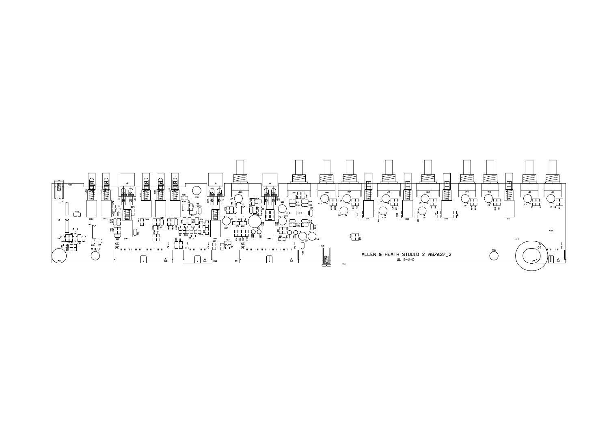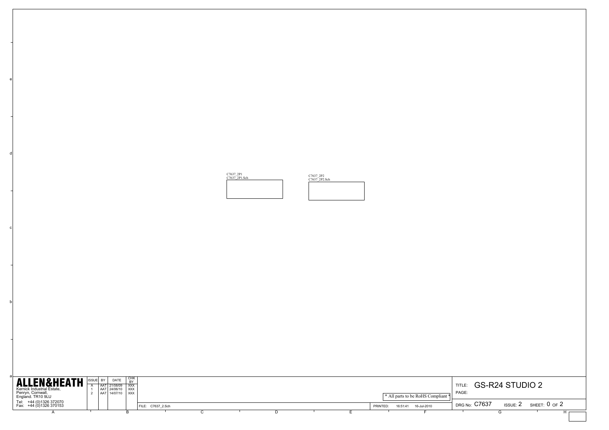

e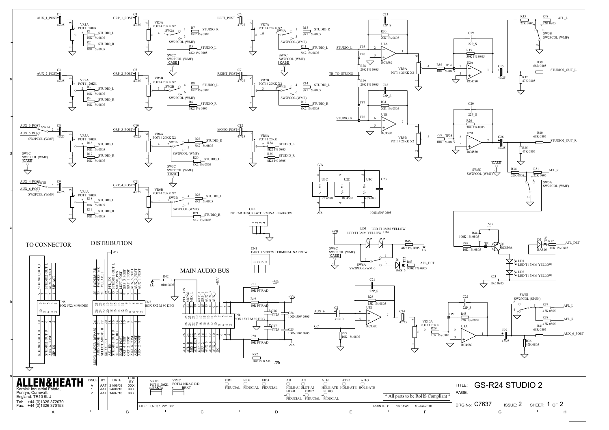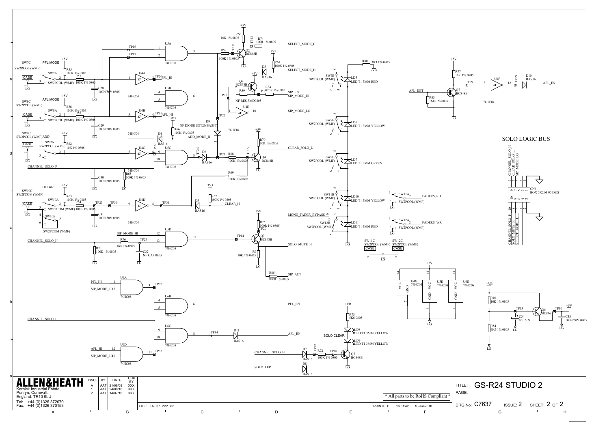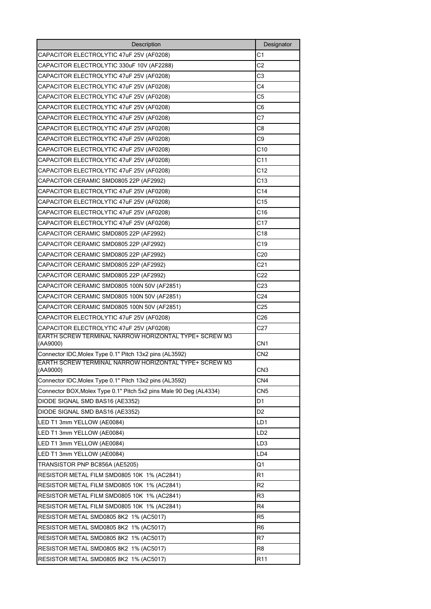| Description                                                        | Designator      |
|--------------------------------------------------------------------|-----------------|
| CAPACITOR ELECTROLYTIC 47uF 25V (AF0208)                           | C <sub>1</sub>  |
| CAPACITOR ELECTROLYTIC 330uF 10V (AF2288)                          | C <sub>2</sub>  |
| CAPACITOR ELECTROLYTIC 47uF 25V (AF0208)                           | C3              |
| CAPACITOR ELECTROLYTIC 47uF 25V (AF0208)                           | C4              |
| CAPACITOR ELECTROLYTIC 47uF 25V (AF0208)                           | C5              |
| CAPACITOR ELECTROLYTIC 47uF 25V (AF0208)                           | C6              |
| CAPACITOR ELECTROLYTIC 47uF 25V (AF0208)                           | C7              |
| CAPACITOR ELECTROLYTIC 47uF 25V (AF0208)                           | C8              |
| CAPACITOR ELECTROLYTIC 47uF 25V (AF0208)                           | C9              |
| CAPACITOR ELECTROLYTIC 47uF 25V (AF0208)                           | C10             |
| CAPACITOR ELECTROLYTIC 47uF 25V (AF0208)                           | C <sub>11</sub> |
| CAPACITOR ELECTROLYTIC 47uF 25V (AF0208)                           | C12             |
| CAPACITOR CERAMIC SMD0805 22P (AF2992)                             | C13             |
| CAPACITOR ELECTROLYTIC 47uF 25V (AF0208)                           | C14             |
| CAPACITOR ELECTROLYTIC 47uF 25V (AF0208)                           | C15             |
| CAPACITOR ELECTROLYTIC 47uF 25V (AF0208)                           | C16             |
| CAPACITOR ELECTROLYTIC 47uF 25V (AF0208)                           | C17             |
| CAPACITOR CERAMIC SMD0805 22P (AF2992)                             | C18             |
| CAPACITOR CERAMIC SMD0805 22P (AF2992)                             | C19             |
| CAPACITOR CERAMIC SMD0805 22P (AF2992)                             | C20             |
| CAPACITOR CERAMIC SMD0805 22P (AF2992)                             | C <sub>21</sub> |
| CAPACITOR CERAMIC SMD0805 22P (AF2992)                             | C22             |
| CAPACITOR CERAMIC SMD0805 100N 50V (AF2851)                        | C23             |
| CAPACITOR CERAMIC SMD0805 100N 50V (AF2851)                        | C24             |
| CAPACITOR CERAMIC SMD0805 100N 50V (AF2851)                        | C <sub>25</sub> |
| CAPACITOR ELECTROLYTIC 47uF 25V (AF0208)                           | C26             |
| CAPACITOR ELECTROLYTIC 47uF 25V (AF0208)                           | C27             |
| EARTH SCREW TERMINAL NARROW HORIZONTAL TYPE+ SCREW M3<br>(AA9000)  | CN1             |
| Connector IDC, Molex Type 0.1" Pitch 13x2 pins (AL3592)            | CN2             |
| EARTH SCREW TERMINAL NARROW HORIZONTAL TYPE+ SCREW M3<br>(AA9000)  | CN <sub>3</sub> |
| Connector IDC, Molex Type 0.1" Pitch 13x2 pins (AL3592)            | CN <sub>4</sub> |
| Connector BOX, Molex Type 0.1" Pitch 5x2 pins Male 90 Deg (AL4334) | CN5             |
| DIODE SIGNAL SMD BAS16 (AE3352)                                    | D1              |
| DIODE SIGNAL SMD BAS16 (AE3352)                                    | D <sub>2</sub>  |
| LED T1 3mm YELLOW (AE0084)                                         | LD1             |
| LED T1 3mm YELLOW (AE0084)                                         | LD <sub>2</sub> |
| LED T1 3mm YELLOW (AE0084)                                         | LD3             |
| LED T1 3mm YELLOW (AE0084)                                         | LD4             |
| TRANSISTOR PNP BC856A (AE5205)                                     | Q1              |
| RESISTOR METAL FILM SMD0805 10K 1% (AC2841)                        | R1              |
| RESISTOR METAL FILM SMD0805 10K 1% (AC2841)                        | R <sub>2</sub>  |
| RESISTOR METAL FILM SMD0805 10K 1% (AC2841)                        | R3              |
| RESISTOR METAL FILM SMD0805 10K 1% (AC2841)                        | R <sub>4</sub>  |
| RESISTOR METAL SMD0805 8K2 1% (AC5017)                             | R <sub>5</sub>  |
| RESISTOR METAL SMD0805 8K2 1% (AC5017)                             | R <sub>6</sub>  |
| RESISTOR METAL SMD0805 8K2 1% (AC5017)                             | R7              |
| RESISTOR METAL SMD0805 8K2 1% (AC5017)                             | R8              |
| RESISTOR METAL SMD0805 8K2 1% (AC5017)                             | R <sub>11</sub> |
|                                                                    |                 |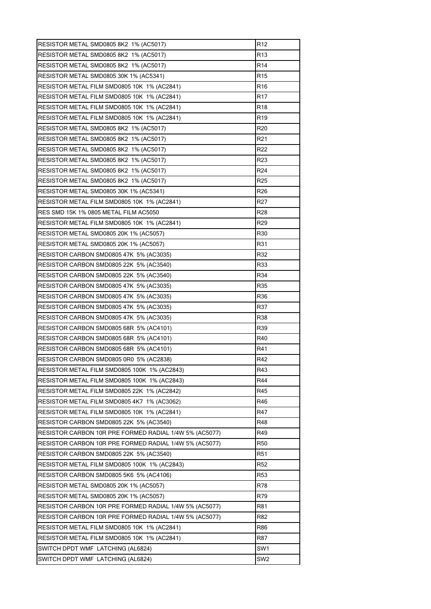| RESISTOR METAL SMD0805 8K2 1% (AC5017)                 | R12             |
|--------------------------------------------------------|-----------------|
| RESISTOR METAL SMD0805 8K2 1% (AC5017)                 | R <sub>13</sub> |
| RESISTOR METAL SMD0805 8K2 1% (AC5017)                 | R14             |
| RESISTOR METAL SMD0805 30K 1% (AC5341)                 | R <sub>15</sub> |
| RESISTOR METAL FILM SMD0805 10K 1% (AC2841)            | R <sub>16</sub> |
| RESISTOR METAL FILM SMD0805 10K 1% (AC2841)            | R17             |
| RESISTOR METAL FILM SMD0805 10K 1% (AC2841)            | R <sub>18</sub> |
| RESISTOR METAL FILM SMD0805 10K 1% (AC2841)            | R <sub>19</sub> |
| RESISTOR METAL SMD0805 8K2 1% (AC5017)                 | R <sub>20</sub> |
| RESISTOR METAL SMD0805 8K2 1% (AC5017)                 | R <sub>21</sub> |
| RESISTOR METAL SMD0805 8K2 1% (AC5017)                 | R <sub>22</sub> |
| RESISTOR METAL SMD0805 8K2 1% (AC5017)                 | R <sub>23</sub> |
| RESISTOR METAL SMD0805 8K2 1% (AC5017)                 | R <sub>24</sub> |
| RESISTOR METAL SMD0805 8K2 1% (AC5017)                 | R <sub>25</sub> |
| <b>RESISTOR METAL SMD0805 30K 1% (AC5341)</b>          | R26             |
| RESISTOR METAL FILM SMD0805 10K 1% (AC2841)            | R27             |
| RES SMD 15K 1% 0805 METAL FILM AC5050                  | R28             |
| RESISTOR METAL FILM SMD0805 10K 1% (AC2841)            | R <sub>29</sub> |
| RESISTOR METAL SMD0805 20K 1% (AC5057)                 | R30             |
| <b>RESISTOR METAL SMD0805 20K 1% (AC5057)</b>          | R31             |
| RESISTOR CARBON SMD0805 47K 5% (AC3035)                | R32             |
| RESISTOR CARBON SMD0805 22K 5% (AC3540)                | R33             |
| RESISTOR CARBON SMD0805 22K 5% (AC3540)                | R34             |
| RESISTOR CARBON SMD0805 47K 5% (AC3035)                | R35             |
| RESISTOR CARBON SMD0805 47K 5% (AC3035)                | R36             |
| RESISTOR CARBON SMD0805 47K 5% (AC3035)                | R37             |
| RESISTOR CARBON SMD0805 47K 5% (AC3035)                | R38             |
| RESISTOR CARBON SMD0805 68R 5% (AC4101)                | R39             |
| RESISTOR CARBON SMD0805 68R 5% (AC4101)                | R40             |
| RESISTOR CARBON SMD0805 68R 5% (AC4101)                | R41             |
| RESISTOR CARBON SMD0805 0R0 5% (AC2838)                | R42             |
| RESISTOR METAL FILM SMD0805 100K 1% (AC2843)           | R43             |
| RESISTOR METAL FILM SMD0805 100K 1% (AC2843)           | R44             |
| RESISTOR METAL FILM SMD0805 22K 1% (AC2842)            | R45             |
| RESISTOR METAL FILM SMD0805 4K7 1% (AC3062)            | R46             |
| RESISTOR METAL FILM SMD0805 10K 1% (AC2841)            | R47             |
| RESISTOR CARBON SMD0805 22K 5% (AC3540)                | R48             |
| RESISTOR CARBON 10R PRE FORMED RADIAL 1/4W 5% (AC5077) | R49             |
| RESISTOR CARBON 10R PRE FORMED RADIAL 1/4W 5% (AC5077) | R50             |
| RESISTOR CARBON SMD0805 22K 5% (AC3540)                | R <sub>51</sub> |
| RESISTOR METAL FILM SMD0805 100K 1% (AC2843)           | R <sub>52</sub> |
| RESISTOR CARBON SMD0805 5K6 5% (AC4106)                | R <sub>53</sub> |
| RESISTOR METAL SMD0805 20K 1% (AC5057)                 | R78             |
| RESISTOR METAL SMD0805 20K 1% (AC5057)                 | R79             |
| RESISTOR CARBON 10R PRE FORMED RADIAL 1/4W 5% (AC5077) | R81             |
| RESISTOR CARBON 10R PRE FORMED RADIAL 1/4W 5% (AC5077) | R82             |
| RESISTOR METAL FILM SMD0805 10K 1% (AC2841)            | R86             |
| RESISTOR METAL FILM SMD0805 10K 1% (AC2841)            | R87             |
| SWITCH DPDT WMF LATCHING (AL6824)                      | SW1             |
| SWITCH DPDT WMF LATCHING (AL6824)                      | SW <sub>2</sub> |
|                                                        |                 |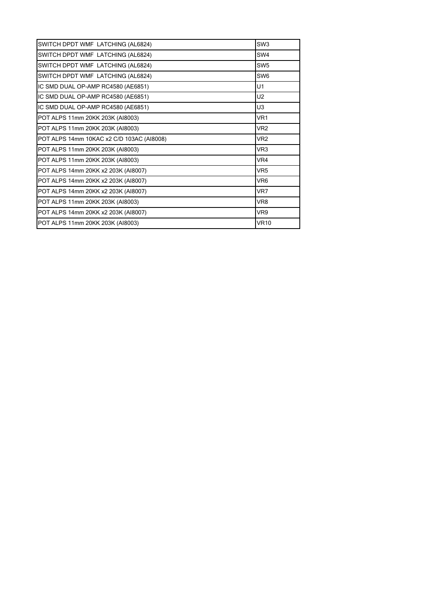| SWITCH DPDT WMF LATCHING (AL6824)         | SW <sub>3</sub> |
|-------------------------------------------|-----------------|
| SWITCH DPDT WMF LATCHING (AL6824)         | SW4             |
| SWITCH DPDT WMF LATCHING (AL6824)         | SW <sub>5</sub> |
| SWITCH DPDT WMF LATCHING (AL6824)         | SW <sub>6</sub> |
| IC SMD DUAL OP-AMP RC4580 (AE6851)        | U1              |
| IC SMD DUAL OP-AMP RC4580 (AE6851)        | U2              |
| IC SMD DUAL OP-AMP RC4580 (AE6851)        | U3              |
| POT ALPS 11mm 20KK 203K (AI8003)          | VR1             |
| POT ALPS 11mm 20KK 203K (AI8003)          | VR <sub>2</sub> |
| POT ALPS 14mm 10KAC x2 C/D 103AC (AI8008) | VR <sub>2</sub> |
| POT ALPS 11mm 20KK 203K (AI8003)          | VR3             |
| POT ALPS 11mm 20KK 203K (AI8003)          | VR4             |
| POT ALPS 14mm 20KK x2 203K (AI8007)       | VR <sub>5</sub> |
| POT ALPS 14mm 20KK x2 203K (AI8007)       | VR <sub>6</sub> |
| POT ALPS 14mm 20KK x2 203K (AI8007)       | VR7             |
| POT ALPS 11mm 20KK 203K (AI8003)          | VR8             |
| POT ALPS 14mm 20KK x2 203K (AI8007)       | VR9             |
| POT ALPS 11mm 20KK 203K (AI8003)          | <b>VR10</b>     |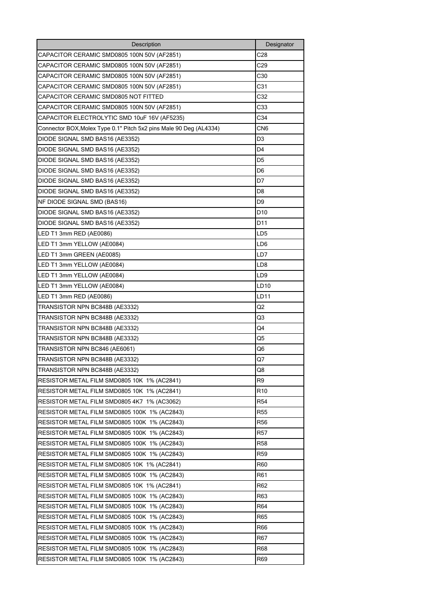| Description                                                        | Designator      |
|--------------------------------------------------------------------|-----------------|
| CAPACITOR CERAMIC SMD0805 100N 50V (AF2851)                        | C28             |
| CAPACITOR CERAMIC SMD0805 100N 50V (AF2851)                        | C29             |
| CAPACITOR CERAMIC SMD0805 100N 50V (AF2851)                        | C30             |
| CAPACITOR CERAMIC SMD0805 100N 50V (AF2851)                        | C <sub>31</sub> |
| CAPACITOR CERAMIC SMD0805 NOT FITTED                               | C32             |
| CAPACITOR CERAMIC SMD0805 100N 50V (AF2851)                        | C33             |
| CAPACITOR ELECTROLYTIC SMD 10uF 16V (AF5235)                       | C34             |
| Connector BOX, Molex Type 0.1" Pitch 5x2 pins Male 90 Deg (AL4334) | CN6             |
| DIODE SIGNAL SMD BAS16 (AE3352)                                    | D3              |
| DIODE SIGNAL SMD BAS16 (AE3352)                                    | D <sub>4</sub>  |
| DIODE SIGNAL SMD BAS16 (AE3352)                                    | D <sub>5</sub>  |
| DIODE SIGNAL SMD BAS16 (AE3352)                                    | D <sub>6</sub>  |
| DIODE SIGNAL SMD BAS16 (AE3352)                                    | D7              |
| DIODE SIGNAL SMD BAS16 (AE3352)                                    | D <sub>8</sub>  |
| NF DIODE SIGNAL SMD (BAS16)                                        | D9              |
| DIODE SIGNAL SMD BAS16 (AE3352)                                    | D <sub>10</sub> |
| DIODE SIGNAL SMD BAS16 (AE3352)                                    | D11             |
| LED T1 3mm RED (AE0086)                                            | LD <sub>5</sub> |
| LED T1 3mm YELLOW (AE0084)                                         | LD <sub>6</sub> |
| LED T1 3mm GREEN (AE0085)                                          | LD7             |
| LED T1 3mm YELLOW (AE0084)                                         | LD8             |
| LED T1 3mm YELLOW (AE0084)                                         | LD9             |
| LED T1 3mm YELLOW (AE0084)                                         | LD10            |
| LED T1 3mm RED (AE0086)                                            | LD11            |
| TRANSISTOR NPN BC848B (AE3332)                                     | Q2              |
| TRANSISTOR NPN BC848B (AE3332)                                     | Q3              |
| TRANSISTOR NPN BC848B (AE3332)                                     | Q4              |
| TRANSISTOR NPN BC848B (AE3332)                                     | Q5              |
| TRANSISTOR NPN BC846 (AE6061)                                      | Q6              |
| TRANSISTOR NPN BC848B (AE3332)                                     | Q7              |
| TRANSISTOR NPN BC848B (AE3332)                                     | Q8              |
| RESISTOR METAL FILM SMD0805 10K 1% (AC2841)                        | R <sub>9</sub>  |
| RESISTOR METAL FILM SMD0805 10K 1% (AC2841)                        | R10             |
| RESISTOR METAL FILM SMD0805 4K7 1% (AC3062)                        | R54             |
| RESISTOR METAL FILM SMD0805 100K 1% (AC2843)                       | R <sub>55</sub> |
| RESISTOR METAL FILM SMD0805 100K 1% (AC2843)                       | R <sub>56</sub> |
| RESISTOR METAL FILM SMD0805 100K 1% (AC2843)                       | R57             |
| RESISTOR METAL FILM SMD0805 100K_1% (AC2843)                       | R58             |
| RESISTOR METAL FILM SMD0805 100K 1% (AC2843)                       | R59             |
| RESISTOR METAL FILM SMD0805 10K 1% (AC2841)                        | R60             |
| RESISTOR METAL FILM SMD0805 100K 1% (AC2843)                       | R61             |
| RESISTOR METAL FILM SMD0805 10K 1% (AC2841)                        | R62             |
| RESISTOR METAL FILM SMD0805 100K 1% (AC2843)                       | R63             |
| RESISTOR METAL FILM SMD0805 100K 1% (AC2843)                       | R64             |
| RESISTOR METAL FILM SMD0805 100K 1% (AC2843)                       | R65             |
| RESISTOR METAL FILM SMD0805 100K 1% (AC2843)                       | R66             |
| RESISTOR METAL FILM SMD0805 100K 1% (AC2843)                       | R67             |
| RESISTOR METAL FILM SMD0805 100K 1% (AC2843)                       | R68             |
| RESISTOR METAL FILM SMD0805 100K 1% (AC2843)                       | R69             |